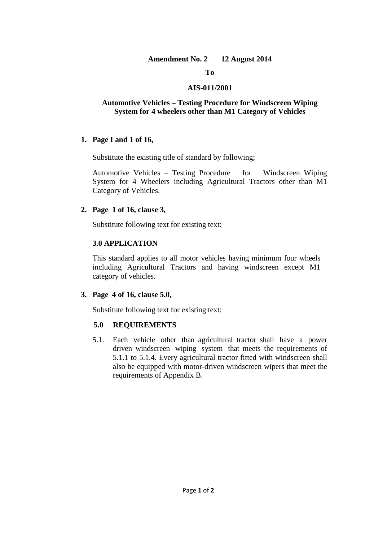#### **Amendment No. 2 12 August 2014**

#### **To**

#### **AIS-011/2001**

#### **Automotive Vehicles – Testing Procedure for Windscreen Wiping System for 4 wheelers other than M1 Category of Vehicles**

#### **1. Page I and 1 of 16,**

Substitute the existing title of standard by following;

Automotive Vehicles – Testing Procedure for Windscreen Wiping System for 4 Wheelers including Agricultural Tractors other than M1 Category of Vehicles.

#### **2. Page 1 of 16, clause 3,**

Substitute following text for existing text:

#### **3.0 APPLICATION**

This standard applies to all motor vehicles having minimum four wheels including Agricultural Tractors and having windscreen except M1 category of vehicles.

#### **3. Page 4 of 16, clause 5.0,**

Substitute following text for existing text:

#### **5.0 REQUIREMENTS**

5.1. Each vehicle other than agricultural tractor shall have a power driven windscreen wiping system that meets the requirements of 5.1.1 to 5.1.4. Every agricultural tractor fitted with windscreen shall also be equipped with motor-driven windscreen wipers that meet the requirements of Appendix B.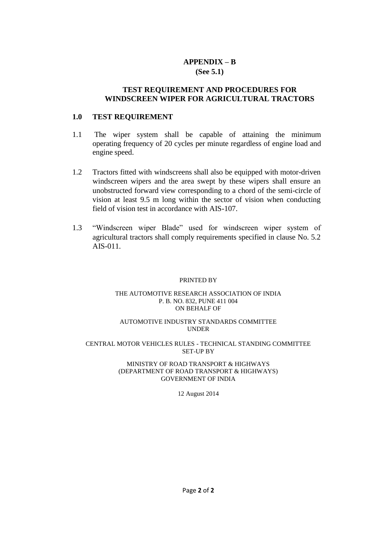#### **APPENDIX – B (See 5.1)**

#### **TEST REQUIREMENT AND PROCEDURES FOR WINDSCREEN WIPER FOR AGRICULTURAL TRACTORS**

#### **1.0 TEST REQUIREMENT**

- 1.1 The wiper system shall be capable of attaining the minimum operating frequency of 20 cycles per minute regardless of engine load and engine speed.
- 1.2 Tractors fitted with windscreens shall also be equipped with motor-driven windscreen wipers and the area swept by these wipers shall ensure an unobstructed forward view corresponding to a chord of the semi-circle of vision at least 9.5 m long within the sector of vision when conducting field of vision test in accordance with AIS-107.
- 1.3 "Windscreen wiper Blade" used for windscreen wiper system of agricultural tractors shall comply requirements specified in clause No. 5.2 AIS-011.

#### PRINTED BY

#### THE AUTOMOTIVE RESEARCH ASSOCIATION OF INDIA P. B. NO. 832, PUNE 411 004 ON BEHALF OF

#### AUTOMOTIVE INDUSTRY STANDARDS COMMITTEE UNDER

#### CENTRAL MOTOR VEHICLES RULES - TECHNICAL STANDING COMMITTEE SET-UP BY

#### MINISTRY OF ROAD TRANSPORT & HIGHWAYS (DEPARTMENT OF ROAD TRANSPORT & HIGHWAYS) GOVERNMENT OF INDIA

#### 12 August 2014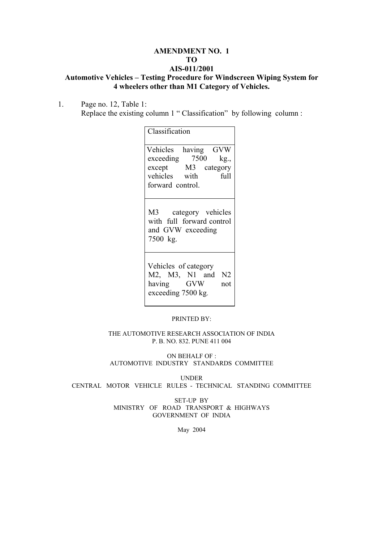#### **AMENDMENT NO. 1 TO AIS-011/2001**

# **Automotive Vehicles – Testing Procedure for Windscreen Wiping System for 4 wheelers other than M1 Category of Vehicles.**

1. Page no. 12, Table 1: Replace the existing column 1 " Classification" by following column :

| Classification                                                                                             |
|------------------------------------------------------------------------------------------------------------|
| Vehicles having GVW<br>exceeding 7500 kg.,<br>except M3 category<br>vehicles with full<br>forward control. |
| M3 category vehicles<br>with full forward control<br>and GVW exceeding<br>7500 kg.                         |
| Vehicles of category<br>M2, M3, N1 and N2<br>having GVW<br>not<br>exceeding 7500 kg.                       |

PRINTED BY:

THE AUTOMOTIVE RESEARCH ASSOCIATION OF INDIA P. B. NO. 832. PUNE 411 004

ON BEHALF OF : AUTOMOTIVE INDUSTRY STANDARDS COMMITTEE

UNDER CENTRAL MOTOR VEHICLE RULES - TECHNICAL STANDING COMMITTEE

> SET-UP BY MINISTRY OF ROAD TRANSPORT & HIGHWAYS GOVERNMENT OF INDIA

> > May 2004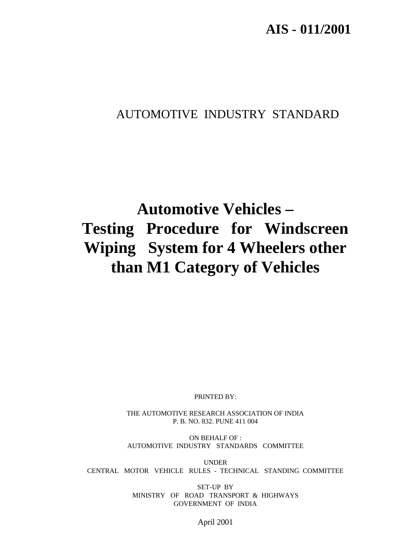# AUTOMOTIVE INDUSTRY STANDARD

# **Automotive Vehicles – Testing Procedure for Windscreen Wiping System for 4 Wheelers other than M1 Category of Vehicles**

PRINTED BY:

THE AUTOMOTIVE RESEARCH ASSOCIATION OF INDIA P. B. NO. 832. PUNE 411 004

ON BEHALF OF : AUTOMOTIVE INDUSTRY STANDARDS COMMITTEE

UNDER CENTRAL MOTOR VEHICLE RULES - TECHNICAL STANDING COMMITTEE

> SET-UP BY MINISTRY OF ROAD TRANSPORT & HIGHWAYS GOVERNMENT OF INDIA

> > April 2001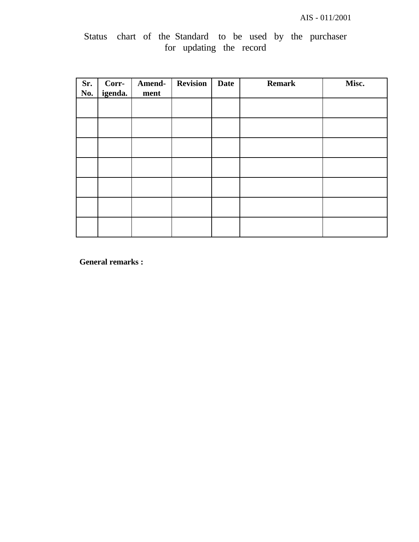|  | Status chart of the Standard to be used by the purchaser |  |  |  |  |
|--|----------------------------------------------------------|--|--|--|--|
|  | for updating the record                                  |  |  |  |  |

| Sr.<br>No. | Corr-<br>igenda. | Amend-<br>ment | <b>Revision</b> | <b>Date</b> | <b>Remark</b> | Misc. |
|------------|------------------|----------------|-----------------|-------------|---------------|-------|
|            |                  |                |                 |             |               |       |
|            |                  |                |                 |             |               |       |
|            |                  |                |                 |             |               |       |
|            |                  |                |                 |             |               |       |
|            |                  |                |                 |             |               |       |
|            |                  |                |                 |             |               |       |
|            |                  |                |                 |             |               |       |

**General remarks :**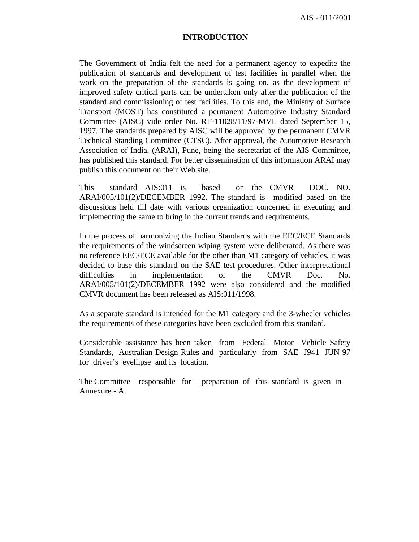AIS - 011/2001

#### **INTRODUCTION**

The Government of India felt the need for a permanent agency to expedite the publication of standards and development of test facilities in parallel when the work on the preparation of the standards is going on, as the development of improved safety critical parts can be undertaken only after the publication of the standard and commissioning of test facilities. To this end, the Ministry of Surface Transport (MOST) has constituted a permanent Automotive Industry Standard Committee (AISC) vide order No. RT-11028/11/97-MVL dated September 15, 1997. The standards prepared by AISC will be approved by the permanent CMVR Technical Standing Committee (CTSC). After approval, the Automotive Research Association of India, (ARAI), Pune, being the secretariat of the AIS Committee, has published this standard. For better dissemination of this information ARAI may publish this document on their Web site.

This standard AIS:011 is based on the CMVR DOC. NO. ARAI/005/101(2)/DECEMBER 1992. The standard is modified based on the discussions held till date with various organization concerned in executing and implementing the same to bring in the current trends and requirements.

In the process of harmonizing the Indian Standards with the EEC/ECE Standards the requirements of the windscreen wiping system were deliberated. As there was no reference EEC/ECE available for the other than M1 category of vehicles, it was decided to base this standard on the SAE test procedures. Other interpretational difficulties in implementation of the CMVR Doc. No. ARAI/005/101(2)/DECEMBER 1992 were also considered and the modified CMVR document has been released as AIS:011/1998.

As a separate standard is intended for the M1 category and the 3-wheeler vehicles the requirements of these categories have been excluded from this standard.

Considerable assistance has been taken from Federal Motor Vehicle Safety Standards, Australian Design Rules and particularly from SAE J941 JUN 97 for driver's eyellipse and its location.

The Committee responsible for preparation of this standard is given in Annexure - A.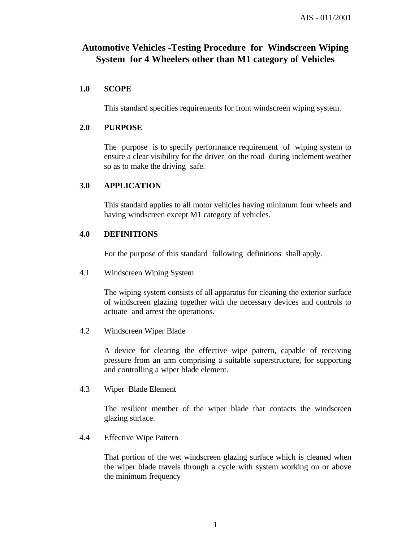# **Automotive Vehicles -Testing Procedure for Windscreen Wiping System for 4 Wheelers other than M1 category of Vehicles**

#### **1.0 SCOPE**

This standard specifies requirements for front windscreen wiping system.

#### **2.0 PURPOSE**

The purpose is to specify performance requirement of wiping system to ensure a clear visibility for the driver on the road during inclement weather so as to make the driving safe.

#### **3.0 APPLICATION**

This standard applies to all motor vehicles having minimum four wheels and having windscreen except M1 category of vehicles.

#### **4.0 DEFINITIONS**

For the purpose of this standard following definitions shall apply.

4.1 Windscreen Wiping System

The wiping system consists of all apparatus for cleaning the exterior surface of windscreen glazing together with the necessary devices and controls to actuate and arrest the operations.

4.2 Windscreen Wiper Blade

A device for clearing the effective wipe pattern, capable of receiving pressure from an arm comprising a suitable superstructure, for supporting and controlling a wiper blade element.

4.3 Wiper Blade Element

The resilient member of the wiper blade that contacts the windscreen glazing surface.

4.4 Effective Wipe Pattern

That portion of the wet windscreen glazing surface which is cleaned when the wiper blade travels through a cycle with system working on or above the minimum frequency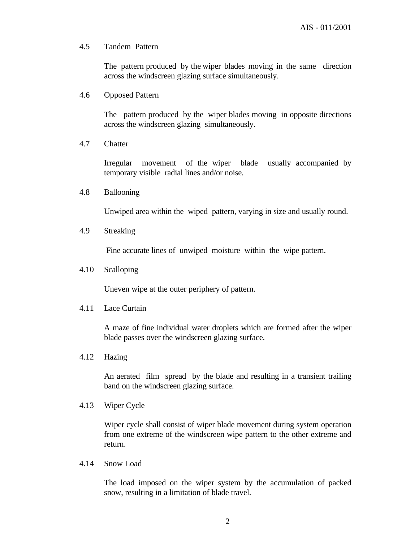#### 4.5 Tandem Pattern

The pattern produced by the wiper blades moving in the same direction across the windscreen glazing surface simultaneously.

4.6 Opposed Pattern

The pattern produced by the wiper blades moving in opposite directions across the windscreen glazing simultaneously.

4.7 Chatter

Irregular movement of the wiper blade usually accompanied by temporary visible radial lines and/or noise.

4.8 Ballooning

Unwiped area within the wiped pattern, varying in size and usually round.

4.9 Streaking

Fine accurate lines of unwiped moisture within the wipe pattern.

4.10 Scalloping

Uneven wipe at the outer periphery of pattern.

4.11 Lace Curtain

A maze of fine individual water droplets which are formed after the wiper blade passes over the windscreen glazing surface.

4.12 Hazing

An aerated film spread by the blade and resulting in a transient trailing band on the windscreen glazing surface.

4.13 Wiper Cycle

Wiper cycle shall consist of wiper blade movement during system operation from one extreme of the windscreen wipe pattern to the other extreme and return.

4.14 Snow Load

The load imposed on the wiper system by the accumulation of packed snow, resulting in a limitation of blade travel.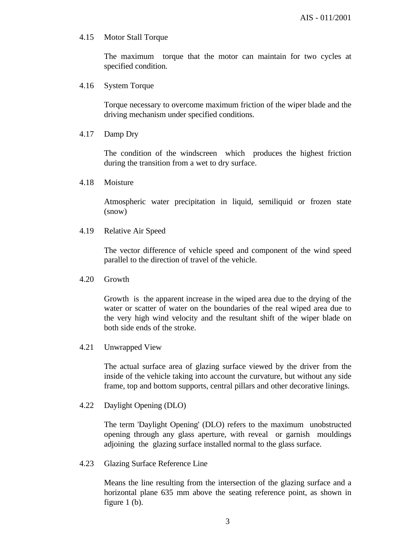#### 4.15 Motor Stall Torque

The maximum torque that the motor can maintain for two cycles at specified condition.

4.16 System Torque

Torque necessary to overcome maximum friction of the wiper blade and the driving mechanism under specified conditions.

4.17 Damp Dry

The condition of the windscreen which produces the highest friction during the transition from a wet to dry surface.

4.18 Moisture

Atmospheric water precipitation in liquid, semiliquid or frozen state (snow)

4.19 Relative Air Speed

The vector difference of vehicle speed and component of the wind speed parallel to the direction of travel of the vehicle.

4.20 Growth

Growth is the apparent increase in the wiped area due to the drying of the water or scatter of water on the boundaries of the real wiped area due to the very high wind velocity and the resultant shift of the wiper blade on both side ends of the stroke.

4.21 Unwrapped View

The actual surface area of glazing surface viewed by the driver from the inside of the vehicle taking into account the curvature, but without any side frame, top and bottom supports, central pillars and other decorative linings.

4.22 Daylight Opening (DLO)

The term 'Daylight Opening' (DLO) refers to the maximum unobstructed opening through any glass aperture, with reveal or garnish mouldings adjoining the glazing surface installed normal to the glass surface.

4.23 Glazing Surface Reference Line

Means the line resulting from the intersection of the glazing surface and a horizontal plane 635 mm above the seating reference point, as shown in figure 1 (b).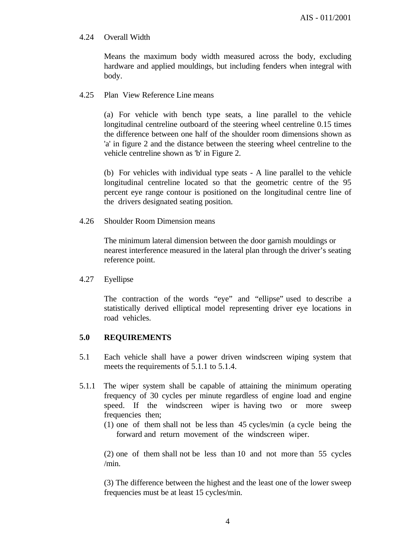#### 4.24 Overall Width

Means the maximum body width measured across the body, excluding hardware and applied mouldings, but including fenders when integral with body.

#### 4.25 Plan View Reference Line means

(a) For vehicle with bench type seats, a line parallel to the vehicle longitudinal centreline outboard of the steering wheel centreline 0.15 times the difference between one half of the shoulder room dimensions shown as 'a' in figure 2 and the distance between the steering wheel centreline to the vehicle centreline shown as 'b' in Figure 2.

(b) For vehicles with individual type seats - A line parallel to the vehicle longitudinal centreline located so that the geometric centre of the 95 percent eye range contour is positioned on the longitudinal centre line of the drivers designated seating position.

4.26 Shoulder Room Dimension means

The minimum lateral dimension between the door garnish mouldings or nearest interference measured in the lateral plan through the driver's seating reference point.

4.27 Eyellipse

The contraction of the words "eye" and "ellipse" used to describe a statistically derived elliptical model representing driver eye locations in road vehicles.

#### **5.0 REQUIREMENTS**

- 5.1 Each vehicle shall have a power driven windscreen wiping system that meets the requirements of 5.1.1 to 5.1.4.
- 5.1.1 The wiper system shall be capable of attaining the minimum operating frequency of 30 cycles per minute regardless of engine load and engine speed. If the windscreen wiper is having two or more sweep frequencies then;
	- (1) one of them shall not be less than 45 cycles/min (a cycle being the forward and return movement of the windscreen wiper.

(2) one of them shall not be less than 10 and not more than 55 cycles /min.

(3) The difference between the highest and the least one of the lower sweep frequencies must be at least 15 cycles/min.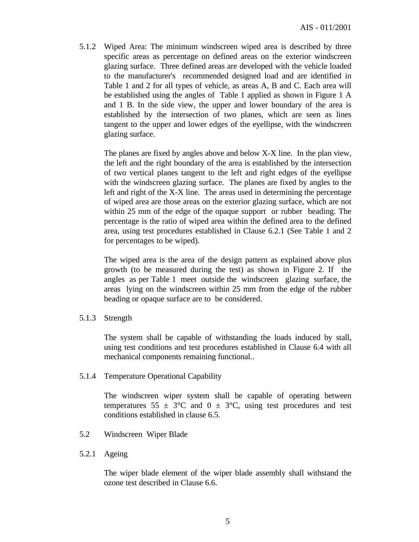5.1.2 Wiped Area: The minimum windscreen wiped area is described by three specific areas as percentage on defined areas on the exterior windscreen glazing surface. Three defined areas are developed with the vehicle loaded to the manufacturer's recommended designed load and are identified in Table 1 and 2 for all types of vehicle, as areas A, B and C. Each area will be established using the angles of Table 1 applied as shown in Figure 1 A and 1 B. In the side view, the upper and lower boundary of the area is established by the intersection of two planes, which are seen as lines tangent to the upper and lower edges of the eyellipse, with the windscreen glazing surface.

The planes are fixed by angles above and below X-X line. In the plan view, the left and the right boundary of the area is established by the intersection of two vertical planes tangent to the left and right edges of the eyellipse with the windscreen glazing surface. The planes are fixed by angles to the left and right of the X-X line. The areas used in determining the percentage of wiped area are those areas on the exterior glazing surface, which are not within 25 mm of the edge of the opaque support or rubber beading. The percentage is the ratio of wiped area within the defined area to the defined area, using test procedures established in Clause 6.2.1 (See Table 1 and 2 for percentages to be wiped).

The wiped area is the area of the design pattern as explained above plus growth (to be measured during the test) as shown in Figure 2. If the angles as per Table 1 meet outside the windscreen glazing surface, the areas lying on the windscreen within 25 mm from the edge of the rubber beading or opaque surface are to be considered.

5.1.3 Strength

The system shall be capable of withstanding the loads induced by stall, using test conditions and test procedures established in Clause 6.4 with all mechanical components remaining functional..

5.1.4 Temperature Operational Capability

The windscreen wiper system shall be capable of operating between temperatures 55  $\pm$  3°C and 0  $\pm$  3°C, using test procedures and test conditions established in clause 6.5.

- 5.2 Windscreen Wiper Blade
- 5.2.1 Ageing

The wiper blade element of the wiper blade assembly shall withstand the ozone test described in Clause 6.6.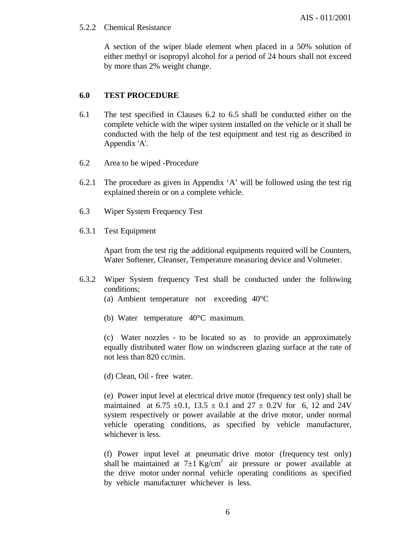#### 5.2.2 Chemical Resistance

A section of the wiper blade element when placed in a 50% solution of either methyl or isopropyl alcohol for a period of 24 hours shall not exceed by more than 2% weight change.

### **6.0 TEST PROCEDURE**

- 6.1 The test specified in Clauses 6.2 to 6.5 shall be conducted either on the complete vehicle with the wiper system installed on the vehicle or it shall be conducted with the help of the test equipment and test rig as described in Appendix 'A'.
- 6.2 Area to be wiped -Procedure
- 6.2.1 The procedure as given in Appendix 'A' will be followed using the test rig explained therein or on a complete vehicle.
- 6.3 Wiper System Frequency Test
- 6.3.1 Test Equipment

Apart from the test rig the additional equipments required will be Counters, Water Softener, Cleanser, Temperature measuring device and Voltmeter.

- 6.3.2 Wiper System frequency Test shall be conducted under the following conditions;
	- (a) Ambient temperature not exceeding 40°C
	- (b) Water temperature 40°C maximum.

(c) Water nozzles - to be located so as to provide an approximately equally distributed water flow on windscreen glazing surface at the rate of not less than 820 cc/min.

(d) Clean, Oil - free water.

(e) Power input level at electrical drive motor (frequency test only) shall be maintained at 6.75  $\pm$ 0.1, 13.5  $\pm$  0.1 and 27  $\pm$  0.2V for 6, 12 and 24V system respectively or power available at the drive motor, under normal vehicle operating conditions, as specified by vehicle manufacturer, whichever is less.

(f) Power input level at pneumatic drive motor (frequency test only) shall be maintained at  $7\pm1$  Kg/cm<sup>2</sup> air pressure or power available at the drive motor under normal vehicle operating conditions as specified by vehicle manufacturer whichever is less.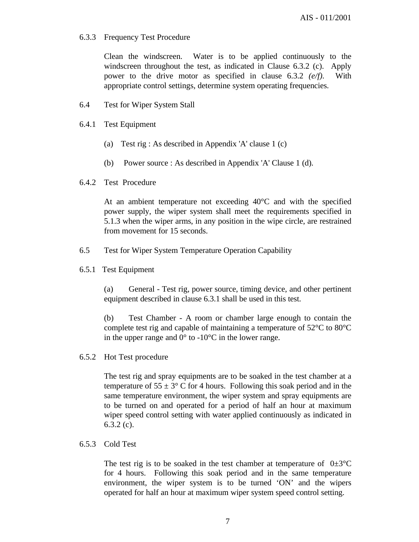#### 6.3.3 Frequency Test Procedure

Clean the windscreen. Water is to be applied continuously to the windscreen throughout the test, as indicated in Clause 6.3.2 (c). Apply power to the drive motor as specified in clause 6.3.2 *(e/f).* With appropriate control settings, determine system operating frequencies.

- 6.4 Test for Wiper System Stall
- 6.4.1 Test Equipment
	- (a) Test rig : As described in Appendix 'A' clause 1 (c)
	- (b) Power source : As described in Appendix 'A' Clause 1 (d).
- 6.4.2 Test Procedure

At an ambient temperature not exceeding 40°C and with the specified power supply, the wiper system shall meet the requirements specified in 5.1.3 when the wiper arms, in any position in the wipe circle, are restrained from movement for 15 seconds.

- 6.5 Test for Wiper System Temperature Operation Capability
- 6.5.1 Test Equipment

(a) General - Test rig, power source, timing device, and other pertinent equipment described in clause 6.3.1 shall be used in this test.

(b) Test Chamber - A room or chamber large enough to contain the complete test rig and capable of maintaining a temperature of 52°C to 80°C in the upper range and  $0^{\circ}$  to -10 $^{\circ}$ C in the lower range.

6.5.2 Hot Test procedure

The test rig and spray equipments are to be soaked in the test chamber at a temperature of  $55 \pm 3^{\circ}$  C for 4 hours. Following this soak period and in the same temperature environment, the wiper system and spray equipments are to be turned on and operated for a period of half an hour at maximum wiper speed control setting with water applied continuously as indicated in 6.3.2 (c).

#### 6.5.3 Cold Test

The test rig is to be soaked in the test chamber at temperature of  $0\pm3^{\circ}\text{C}$ for 4 hours. Following this soak period and in the same temperature environment, the wiper system is to be turned 'ON' and the wipers operated for half an hour at maximum wiper system speed control setting.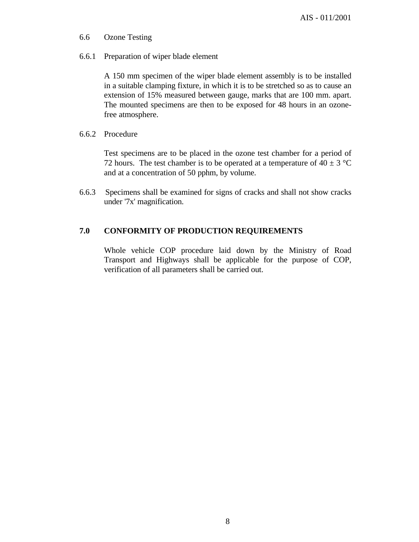- 6.6 Ozone Testing
- 6.6.1 Preparation of wiper blade element

A 150 mm specimen of the wiper blade element assembly is to be installed in a suitable clamping fixture, in which it is to be stretched so as to cause an extension of 15% measured between gauge, marks that are 100 mm. apart. The mounted specimens are then to be exposed for 48 hours in an ozonefree atmosphere.

6.6.2 Procedure

Test specimens are to be placed in the ozone test chamber for a period of 72 hours. The test chamber is to be operated at a temperature of  $40 \pm 3$  °C and at a concentration of 50 pphm, by volume.

6.6.3 Specimens shall be examined for signs of cracks and shall not show cracks under '7x' magnification.

## **7.0 CONFORMITY OF PRODUCTION REQUIREMENTS**

Whole vehicle COP procedure laid down by the Ministry of Road Transport and Highways shall be applicable for the purpose of COP, verification of all parameters shall be carried out.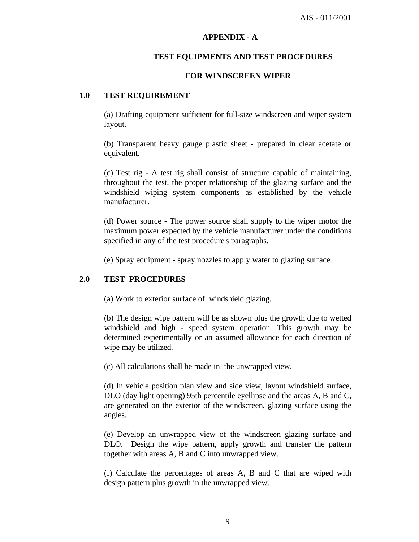#### **APPENDIX - A**

#### **TEST EQUIPMENTS AND TEST PROCEDURES**

#### **FOR WINDSCREEN WIPER**

#### **1.0 TEST REQUIREMENT**

(a) Drafting equipment sufficient for full-size windscreen and wiper system layout.

(b) Transparent heavy gauge plastic sheet - prepared in clear acetate or equivalent.

(c) Test rig - A test rig shall consist of structure capable of maintaining, throughout the test, the proper relationship of the glazing surface and the windshield wiping system components as established by the vehicle manufacturer.

(d) Power source - The power source shall supply to the wiper motor the maximum power expected by the vehicle manufacturer under the conditions specified in any of the test procedure's paragraphs.

(e) Spray equipment - spray nozzles to apply water to glazing surface.

#### **2.0 TEST PROCEDURES**

(a) Work to exterior surface of windshield glazing.

(b) The design wipe pattern will be as shown plus the growth due to wetted windshield and high - speed system operation. This growth may be determined experimentally or an assumed allowance for each direction of wipe may be utilized.

(c) All calculations shall be made in the unwrapped view.

(d) In vehicle position plan view and side view, layout windshield surface, DLO (day light opening) 95th percentile eyellipse and the areas A, B and C, are generated on the exterior of the windscreen, glazing surface using the angles.

(e) Develop an unwrapped view of the windscreen glazing surface and DLO. Design the wipe pattern, apply growth and transfer the pattern together with areas A, B and C into unwrapped view.

(f) Calculate the percentages of areas A, B and C that are wiped with design pattern plus growth in the unwrapped view.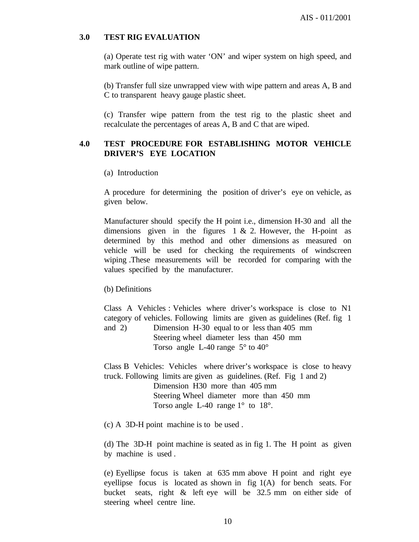#### **3.0 TEST RIG EVALUATION**

(a) Operate test rig with water 'ON' and wiper system on high speed, and mark outline of wipe pattern.

(b) Transfer full size unwrapped view with wipe pattern and areas A, B and C to transparent heavy gauge plastic sheet.

(c) Transfer wipe pattern from the test rig to the plastic sheet and recalculate the percentages of areas A, B and C that are wiped.

#### **4.0 TEST PROCEDURE FOR ESTABLISHING MOTOR VEHICLE DRIVER'S EYE LOCATION**

(a) Introduction

A procedure for determining the position of driver's eye on vehicle, as given below.

Manufacturer should specify the H point i.e., dimension H-30 and all the dimensions given in the figures  $1 \& 2$ . However, the H-point as determined by this method and other dimensions as measured on vehicle will be used for checking the requirements of windscreen wiping .These measurements will be recorded for comparing with the values specified by the manufacturer.

(b) Definitions

Class A Vehicles : Vehicles where driver's workspace is close to N1 category of vehicles. Following limits are given as guidelines (Ref. fig 1 and 2) Dimension H-30 equal to or less than 405 mm

Steering wheel diameter less than 450 mm Torso angle L-40 range 5° to 40°

Class B Vehicles: Vehicles where driver's workspace is close to heavy truck. Following limits are given as guidelines. (Ref. Fig 1 and 2)

Dimension H30 more than 405 mm Steering Wheel diameter more than 450 mm Torso angle L-40 range  $1^{\circ}$  to  $18^{\circ}$ .

(c) A 3D-H point machine is to be used .

(d) The 3D-H point machine is seated as in fig 1. The H point as given by machine is used .

(e) Eyellipse focus is taken at 635 mm above H point and right eye eyellipse focus is located as shown in fig 1(A) for bench seats. For bucket seats, right & left eye will be 32.5 mm on either side of steering wheel centre line.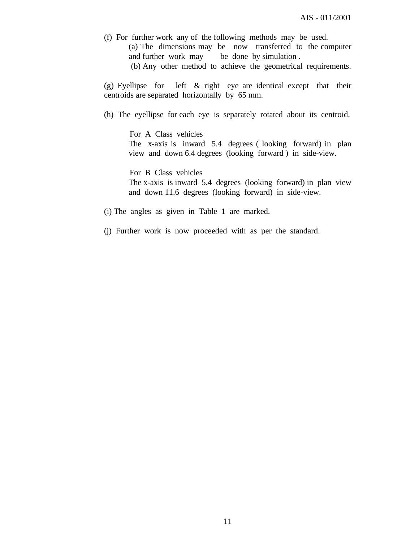(f) For further work any of the following methods may be used. (a) The dimensions may be now transferred to the computer and further work may be done by simulation .

(b) Any other method to achieve the geometrical requirements.

(g) Eyellipse for left & right eye are identical except that their centroids are separated horizontally by 65 mm.

(h) The eyellipse for each eye is separately rotated about its centroid.

 For A Class vehicles The x-axis is inward 5.4 degrees ( looking forward) in plan view and down 6.4 degrees (looking forward ) in side-view.

 For B Class vehicles The x-axis is inward 5.4 degrees (looking forward) in plan view and down 11.6 degrees (looking forward) in side-view.

(i) The angles as given in Table 1 are marked.

(j) Further work is now proceeded with as per the standard.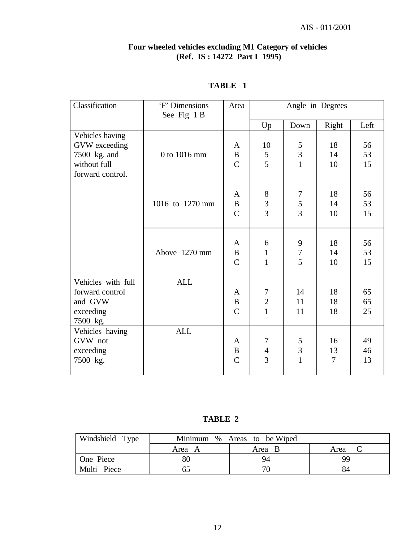#### **Four wheeled vehicles excluding M1 Category of vehicles (Ref. IS : 14272 Part I 1995)**

| Classification                                                                       | 'F' Dimensions<br>See Fig 1 B | Area                                           | Angle in Degrees                       |                                     |                    |                |
|--------------------------------------------------------------------------------------|-------------------------------|------------------------------------------------|----------------------------------------|-------------------------------------|--------------------|----------------|
|                                                                                      |                               |                                                | Up                                     | Down                                | Right              | Left           |
| Vehicles having<br>GVW exceeding<br>7500 kg. and<br>without full<br>forward control. | 0 to 1016 mm                  | A<br>$\bf{B}$<br>$\mathbf C$                   | 10<br>$\mathfrak{S}$<br>$\overline{5}$ | 5<br>$\overline{3}$<br>$\mathbf{1}$ | 18<br>14<br>10     | 56<br>53<br>15 |
|                                                                                      | 1016 to 1270 mm               | A<br>$\mathbf B$<br>$\mathcal{C}$              | $8\,$<br>$\frac{3}{3}$                 | 7<br>$rac{5}{3}$                    | 18<br>14<br>10     | 56<br>53<br>15 |
|                                                                                      | Above 1270 mm                 | $\mathbf{A}$<br>$\, {\bf B}$<br>$\mathbf C$    | 6<br>$\mathbf{1}$<br>$\mathbf{1}$      | 9<br>$\boldsymbol{7}$<br>5          | 18<br>14<br>10     | 56<br>53<br>15 |
| Vehicles with full<br>forward control<br>and GVW<br>exceeding<br>7500 kg.            | <b>ALL</b>                    | A<br>$\bf{B}$<br>$\mathcal{C}$                 | 7<br>$\sqrt{2}$<br>$\mathbf{1}$        | 14<br>11<br>11                      | 18<br>18<br>18     | 65<br>65<br>25 |
| Vehicles having<br>GVW not<br>exceeding<br>7500 kg.                                  | <b>ALL</b>                    | $\mathbf{A}$<br>$\, {\bf B}$<br>$\overline{C}$ | 7<br>$\overline{4}$<br>$\overline{3}$  | $\frac{5}{3}$<br>$\mathbf{1}$       | 16<br>13<br>$\tau$ | 49<br>46<br>13 |

# **TABLE 1**

**TABLE 2**

| Windshield Type |        | Minimum % Areas to be Wiped |      |
|-----------------|--------|-----------------------------|------|
|                 | Area A | Area B                      | Area |
| One Piece       | 80     | 94                          | QС   |
| Multi Piece     | bΣ     |                             | 84   |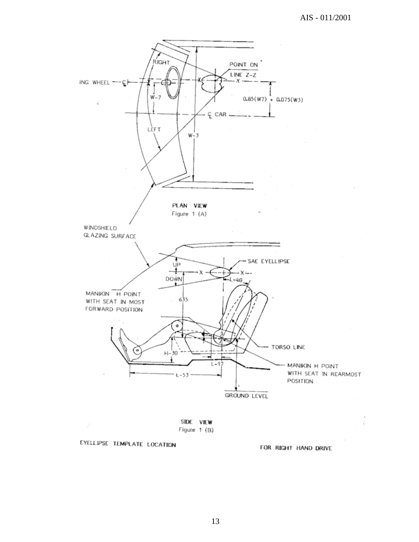

FOR RIGHT HAND DRIVE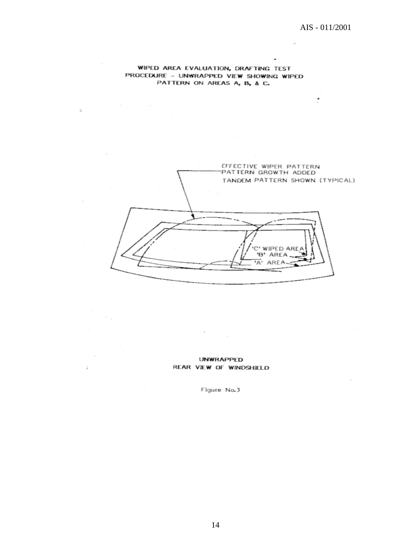÷

 $\overline{\phantom{a}}$ 

Ù.

 $\bullet$ 

#### WIPED AREA EVALUATION, DRAFTING TEST PROCEDURE - UNWRAPPED VIEW SHOWING WIPED PATTERN ON AREAS A, B, & C.

 $\mathcal{L}$ 

 $\sim$   $\sim$ 

 $\sim$ 

à.

ú

 $\mathcal{A}^{\mathcal{A}}$  and  $\mathcal{A}^{\mathcal{A}}$  are  $\mathcal{A}^{\mathcal{A}}$  .

EFFECTIVE WIPER PATTERN PATTERN GROWTH ADDED TANDEM PATTERN SHOWN (TYPICAL) C' WIPED AREA 'B' AREA A' AREA

**UNWRAPPED** REAR VIEW OF WINDSHIELD

 $\mathcal{F}^{\mathcal{G}}_{\mathcal{G}}$  .

Figure No.3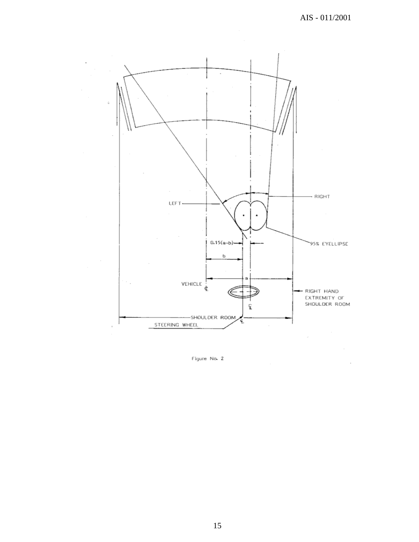

Figure No. 2